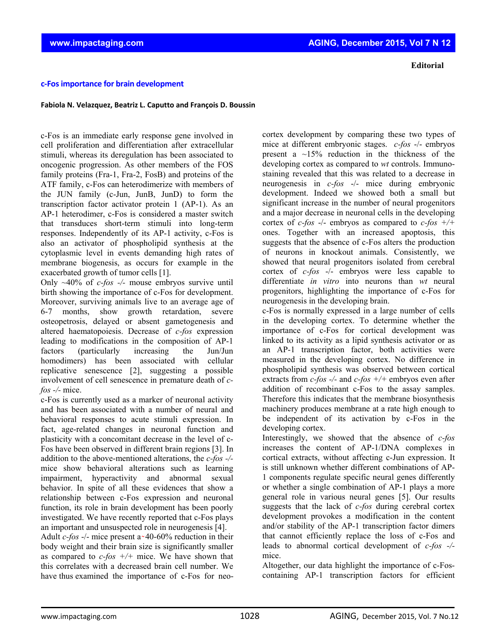## **c‐Fosimportance for brain development**

## **Fabiola N. Velazquez, Beatriz L. Caputto and François D. Boussin**

c-Fos is an immediate early response gene involved in cell proliferation and differentiation after extracellular stimuli, whereas its deregulation has been associated to oncogenic progression. As other members of the FOS family proteins (Fra-1, Fra-2, FosB) and proteins of the ATF family, c-Fos can heterodimerize with members of the JUN family (c-Jun, JunB, JunD) to form the transcription factor activator protein 1 (AP-1). As an AP-1 heterodimer, c-Fos is considered a master switch that transduces short-term stimuli into long-term responses. Independently of its AP-1 activity, c-Fos is also an activator of phospholipid synthesis at the cytoplasmic level in events demanding high rates of membrane biogenesis, as occurs for example in the exacerbated growth of tumor cells [1].

Only ~40% of *c-fos -/-* mouse embryos survive until birth showing the importance of c-Fos for development. Moreover, surviving animals live to an average age of 6-7 months, show growth retardation, severe osteopetrosis, delayed or absent gametogenesis and altered haematopoiesis. Decrease of *c-fos* expression leading to modifications in the composition of AP-1 factors (particularly increasing the Jun/Jun homodimers) has been associated with cellular replicative senescence [2], suggesting a possible involvement of cell senescence in premature death of *cfos -/-* mice.

c-Fos is currently used as a marker of neuronal activity and has been associated with a number of neural and behavioral responses to acute stimuli expression. In fact, age-related changes in neuronal function and plasticity with a concomitant decrease in the level of c-Fos have been observed in different brain regions [3]. In addition to the above-mentioned alterations, the *c-fos -/* mice show behavioral alterations such as learning impairment, hyperactivity and abnormal sexual behavior. In spite of all these evidences that show a relationship between c-Fos expression and neuronal function, its role in brain development has been poorly investigated. We have recently reported that c-Fos plays an important and unsuspected role in neurogenesis [4].

Adult  $c$ -fos  $-/-$  mice present a  $\sim$  40-60% reduction in their body weight and their brain size is significantly smaller as compared to *c-fos +/+* mice. We have shown that this correlates with a decreased brain cell number. We have thus examined the importance of c-Fos for neocortex development by comparing these two types of mice at different embryonic stages. *c-fos* -/- embryos present a  $\sim$ 15% reduction in the thickness of the developing cortex as compared to *wt* controls. Immunostaining revealed that this was related to a decrease in neurogenesis in *c-fos* -/- mice during embryonic development. Indeed we showed both a small but significant increase in the number of neural progenitors and a major decrease in neuronal cells in the developing cortex of *c-fos* -/- embryos as compared to *c-fos +/+* ones. Together with an increased apoptosis, this suggests that the absence of c-Fos alters the production of neurons in knockout animals. Consistently, we showed that neural progenitors isolated from cerebral cortex of *c-fos* -/- embryos were less capable to differentiate *in vitro* into neurons than *wt* neural progenitors, highlighting the importance of c-Fos for neurogenesis in the developing brain.

c-Fos is normally expressed in a large number of cells in the developing cortex. To determine whether the importance of c-Fos for cortical development was linked to its activity as a lipid synthesis activator or as an AP-1 transcription factor, both activities were measured in the developing cortex. No difference in phospholipid synthesis was observed between cortical extracts from *c-fos -/-* and *c-fos +/+* embryos even after addition of recombinant c-Fos to the assay samples. Therefore this indicates that the membrane biosynthesis machinery produces membrane at a rate high enough to be independent of its activation by c-Fos in the developing cortex.

Interestingly, we showed that the absence of *c-fos* increases the content of AP-1/DNA complexes in cortical extracts, without affecting c-Jun expression. It is still unknown whether different combinations of AP-1 components regulate specific neural genes differently or whether a single combination of AP-1 plays a more general role in various neural genes [5]. Our results suggests that the lack of *c-fos* during cerebral cortex development provokes a modification in the content and/or stability of the AP-1 transcription factor dimers that cannot efficiently replace the loss of c-Fos and leads to abnormal cortical development of *c-fos -/* mice.

Altogether, our data highlight the importance of c-Foscontaining AP-1 transcription factors for efficient